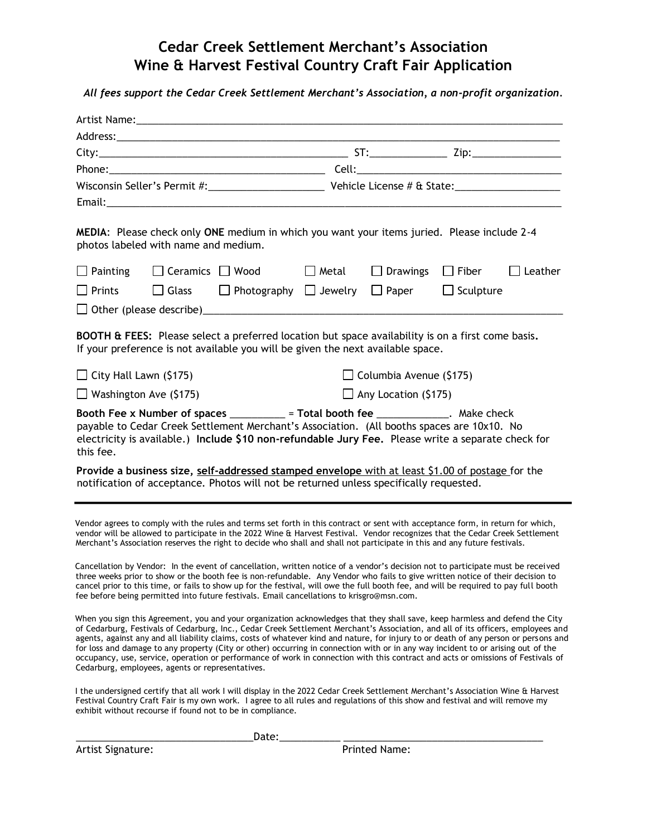# **Cedar Creek Settlement Merchant's Association Wine & Harvest Festival Country Craft Fair Application**

*All fees support the Cedar Creek Settlement Merchant's Association, a non-profit organization.* 

| Artist Name: Artist Name:                                                                                                                                                                                                                                                                                                                                                                                                                                                                                                                                                                                                                                                                                                             |                             |                                |  |  |
|---------------------------------------------------------------------------------------------------------------------------------------------------------------------------------------------------------------------------------------------------------------------------------------------------------------------------------------------------------------------------------------------------------------------------------------------------------------------------------------------------------------------------------------------------------------------------------------------------------------------------------------------------------------------------------------------------------------------------------------|-----------------------------|--------------------------------|--|--|
|                                                                                                                                                                                                                                                                                                                                                                                                                                                                                                                                                                                                                                                                                                                                       |                             |                                |  |  |
|                                                                                                                                                                                                                                                                                                                                                                                                                                                                                                                                                                                                                                                                                                                                       |                             |                                |  |  |
|                                                                                                                                                                                                                                                                                                                                                                                                                                                                                                                                                                                                                                                                                                                                       |                             |                                |  |  |
|                                                                                                                                                                                                                                                                                                                                                                                                                                                                                                                                                                                                                                                                                                                                       |                             |                                |  |  |
|                                                                                                                                                                                                                                                                                                                                                                                                                                                                                                                                                                                                                                                                                                                                       |                             |                                |  |  |
| MEDIA: Please check only ONE medium in which you want your items juried. Please include 2-4<br>photos labeled with name and medium.                                                                                                                                                                                                                                                                                                                                                                                                                                                                                                                                                                                                   |                             |                                |  |  |
| $\Box$ Painting $\Box$ Ceramics $\Box$ Wood $\Box$ Metal $\Box$ Drawings $\Box$ Fiber $\Box$ Leather                                                                                                                                                                                                                                                                                                                                                                                                                                                                                                                                                                                                                                  |                             |                                |  |  |
| $\Box$ Prints $\Box$ Glass $\Box$ Photography $\Box$ Jewelry $\Box$ Paper $\Box$ Sculpture                                                                                                                                                                                                                                                                                                                                                                                                                                                                                                                                                                                                                                            |                             |                                |  |  |
|                                                                                                                                                                                                                                                                                                                                                                                                                                                                                                                                                                                                                                                                                                                                       |                             |                                |  |  |
| <b>BOOTH &amp; FEES:</b> Please select a preferred location but space availability is on a first come basis.<br>If your preference is not available you will be given the next available space.                                                                                                                                                                                                                                                                                                                                                                                                                                                                                                                                       |                             |                                |  |  |
| $\Box$ City Hall Lawn (\$175)                                                                                                                                                                                                                                                                                                                                                                                                                                                                                                                                                                                                                                                                                                         |                             | $\Box$ Columbia Avenue (\$175) |  |  |
| $\Box$ Washington Ave (\$175)                                                                                                                                                                                                                                                                                                                                                                                                                                                                                                                                                                                                                                                                                                         | $\Box$ Any Location (\$175) |                                |  |  |
| Booth Fee x Number of spaces _________ = Total booth fee _____________. Make check<br>payable to Cedar Creek Settlement Merchant's Association. (All booths spaces are 10x10. No<br>electricity is available.) Include \$10 non-refundable Jury Fee. Please write a separate check for<br>this fee.                                                                                                                                                                                                                                                                                                                                                                                                                                   |                             |                                |  |  |
| Provide a business size, self-addressed stamped envelope with at least \$1.00 of postage for the<br>notification of acceptance. Photos will not be returned unless specifically requested.                                                                                                                                                                                                                                                                                                                                                                                                                                                                                                                                            |                             |                                |  |  |
| Vendor agrees to comply with the rules and terms set forth in this contract or sent with acceptance form, in return for which,<br>vendor will be allowed to participate in the 2022 Wine & Harvest Festival. Vendor recognizes that the Cedar Creek Settlement<br>Merchant's Association reserves the right to decide who shall and shall not participate in this and any future festivals.                                                                                                                                                                                                                                                                                                                                           |                             |                                |  |  |
| Cancellation by Vendor: In the event of cancellation, written notice of a vendor's decision not to participate must be received<br>three weeks prior to show or the booth fee is non-refundable. Any Vendor who fails to give written notice of their decision to<br>cancel prior to this time, or fails to show up for the festival, will owe the full booth fee, and will be required to pay full booth<br>fee before being permitted into future festivals. Email cancellations to krisgro@msn.com.                                                                                                                                                                                                                                |                             |                                |  |  |
| When you sign this Agreement, you and your organization acknowledges that they shall save, keep harmless and defend the City<br>of Cedarburg, Festivals of Cedarburg, Inc., Cedar Creek Settlement Merchant's Association, and all of its officers, employees and<br>agents, against any and all liability claims, costs of whatever kind and nature, for injury to or death of any person or persons and<br>for loss and damage to any property (City or other) occurring in connection with or in any way incident to or arising out of the<br>occupancy, use, service, operation or performance of work in connection with this contract and acts or omissions of Festivals of<br>Cedarburg, employees, agents or representatives. |                             |                                |  |  |
| I the undersigned certify that all work I will display in the 2022 Cedar Creek Settlement Merchant's Association Wine & Harvest<br>Festival Country Craft Fair is my own work. I agree to all rules and regulations of this show and festival and will remove my<br>exhibit without recourse if found not to be in compliance.                                                                                                                                                                                                                                                                                                                                                                                                        |                             |                                |  |  |

Artist Signature: The Printed Name:

\_\_\_\_\_\_\_\_\_\_\_\_\_\_\_\_\_\_\_\_\_\_\_\_\_\_\_\_\_\_\_\_Date:\_\_\_\_\_\_\_\_\_\_\_ \_\_\_\_\_\_\_\_\_\_\_\_\_\_\_\_\_\_\_\_\_\_\_\_\_\_\_\_\_\_\_\_\_\_\_\_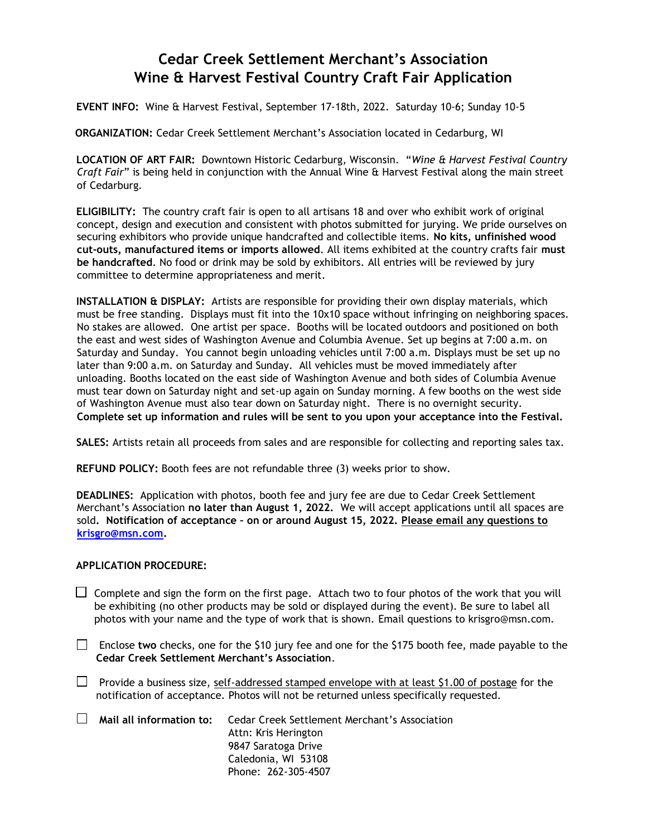# **Cedar Creek Settlement Merchant's Association Wine & Harvest Festival Country Craft Fair Application**

### **EVENT INFO:** Wine & Harvest Festival, September 17-18th, 2022. Saturday 10-6; Sunday 10-5

**ORGANIZATION:** Cedar Creek Settlement Merchant's Association located in Cedarburg, WI

**LOCATION OF ART FAIR:** Downtown Historic Cedarburg, Wisconsin. "*Wine & Harvest Festival Country Craft Fair*" is being held in conjunction with the Annual Wine & Harvest Festival along the main street of Cedarburg.

**ELIGIBILITY:** The country craft fair is open to all artisans 18 and over who exhibit work of original concept, design and execution and consistent with photos submitted for jurying. We pride ourselves on securing exhibitors who provide unique handcrafted and collectible items. **No kits, unfinished wood cut-outs, manufactured items or imports allowed**. All items exhibited at the country crafts fair **must be handcrafted**. No food or drink may be sold by exhibitors. All entries will be reviewed by jury committee to determine appropriateness and merit.

**INSTALLATION & DISPLAY:** Artists are responsible for providing their own display materials, which must be free standing. Displays must fit into the 10x10 space without infringing on neighboring spaces. No stakes are allowed. One artist per space. Booths will be located outdoors and positioned on both the east and west sides of Washington Avenue and Columbia Avenue. Set up begins at 7:00 a.m. on Saturday and Sunday. You cannot begin unloading vehicles until 7:00 a.m. Displays must be set up no later than 9:00 a.m. on Saturday and Sunday. All vehicles must be moved immediately after unloading. Booths located on the east side of Washington Avenue and both sides of Columbia Avenue must tear down on Saturday night and set-up again on Sunday morning. A few booths on the west side of Washington Avenue must also tear down on Saturday night. There is no overnight security. **Complete set up information and rules will be sent to you upon your acceptance into the Festival.**

**SALES:** Artists retain all proceeds from sales and are responsible for collecting and reporting sales tax.

**REFUND POLICY:** Booth fees are not refundable three (3) weeks prior to show.

**DEADLINES:** Application with photos, booth fee and jury fee are due to Cedar Creek Settlement Merchant's Association **no later than August 1, 2022.** We will accept applications until all spaces are sold**. Notification of acceptance – on or around August 15, 2022. Please email any questions to [krisgro@msn.com.](mailto:krisgro@msn.com)** 

#### **APPLICATION PROCEDURE:**

- $\Box$  Complete and sign the form on the first page. Attach two to four photos of the work that you will be exhibiting (no other products may be sold or displayed during the event). Be sure to label all photos with your name and the type of work that is shown. Email questions to krisgro@msn.com.
- Enclose **two** checks, one for the \$10 jury fee and one for the \$175 booth fee, made payable to the **Cedar Creek Settlement Merchant's Association**.
- **Provide a business size, self-addressed stamped envelope with at least \$1.00 of postage for the** notification of acceptance. Photos will not be returned unless specifically requested.
- **Mail all information to:** Cedar Creek Settlement Merchant's Association Attn: Kris Herington 9847 Saratoga Drive Caledonia, WI 53108 Phone: 262-305-4507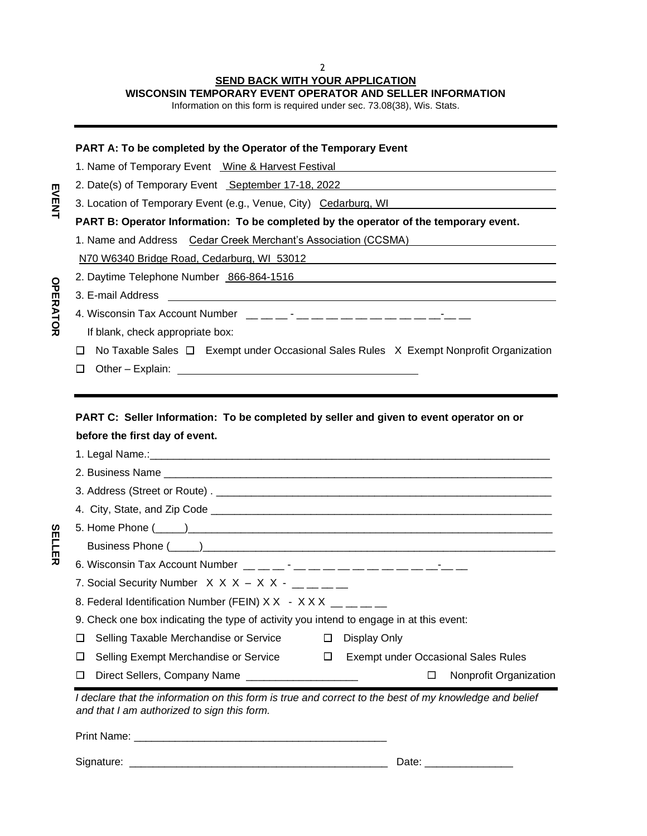## 2 **SEND BACK WITH YOUR APPLICATION**

**WISCONSIN TEMPORARY EVENT OPERATOR AND SELLER INFORMATION**

Information on this form is required under sec. 73.08(38), Wis. Stats.

### **PART A: To be completed by the Operator of the Temporary Event**

1. Name of Temporary Event Wine & Harvest Festival

2. Date(s) of Temporary Event September 17-18, 2022

3. Location of Temporary Event (e.g., Venue, City) Cedarburg, WI

**PART B: Operator Information: To be completed by the operator of the temporary event.**

1. Name and Address Cedar Creek Merchant's Association (CCSMA)

N70 W6340 Bridge Road, Cedarburg, WI 53012

2. Daytime Telephone Number 866-864-1516

3. E-mail Address

4. Wisconsin Tax Account Number \_\_ \_\_ \_\_ - \_\_ \_\_ \_\_ \_\_ \_\_ \_\_ \_\_ \_\_ \_\_ \_\_-\_\_ \_\_

If blank, check appropriate box:

 $\Box$  No Taxable Sales  $\Box$  Exempt under Occasional Sales Rules X Exempt Nonprofit Organization

Other – Explain:

**PART C: Seller Information: To be completed by seller and given to event operator on or before the first day of event.**

| 6. Wisconsin Tax Account Number $\_\_$ $\_\_$ $\_\_$ $\_\_$ $\_\_$ $\_\_$ $\_\_$ $\_\_$ $\_\_$ $\_\_$ $\_\_$ $\_\_$ $\_\_$ $\_\_$                     |
|-------------------------------------------------------------------------------------------------------------------------------------------------------|
| 7. Social Security Number $X$ X X $-$ X X $ \underline{\hspace{1cm}}$ $\underline{\hspace{1cm}}$ $\underline{\hspace{1cm}}$                           |
| 8. Federal Identification Number (FEIN) X X - X X X $\mu$ $\mu$ $\mu$                                                                                 |
| 9. Check one box indicating the type of activity you intend to engage in at this event:                                                               |
| <b>Display Only</b><br>Selling Taxable Merchandise or Service □<br>ப                                                                                  |
| Selling Exempt Merchandise or Service $\Box$<br><b>Exempt under Occasional Sales Rules</b><br>ப                                                       |
| Nonprofit Organization<br>Direct Sellers, Company Name _____________________<br>$\Box$<br>ப                                                           |
| I declare that the information on this form is true and correct to the best of my knowledge and belief<br>and that I am authorized to sign this form. |

Print Name: \_\_\_\_\_\_\_\_\_\_\_\_\_\_\_\_\_\_\_\_\_\_\_\_\_\_\_\_\_\_\_\_\_\_\_\_\_\_\_\_\_\_\_

Signature: \_\_\_\_\_\_\_\_\_\_\_\_\_\_\_\_\_\_\_\_\_\_\_\_\_\_\_\_\_\_\_\_\_\_\_\_\_\_\_\_\_\_\_\_ Date: \_\_\_\_\_\_\_\_\_\_\_\_\_\_\_

**EVENT** 

**SELLER**

**SELLER**